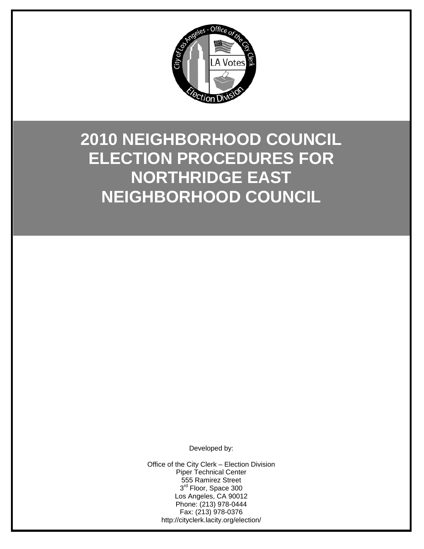

# **2010 NEIGHBORHOOD COUNCIL ELECTION PROCEDURES FOR NORTHRIDGE EAST NEIGHBORHOOD COUNCIL**

Developed by:

Office of the City Clerk – Election Division Piper Technical Center 555 Ramirez Street 3<sup>rd</sup> Floor, Space 300 Los Angeles, CA 90012 Phone: (213) 978-0444 Fax: (213) 978-0376 http://cityclerk.lacity.org/election/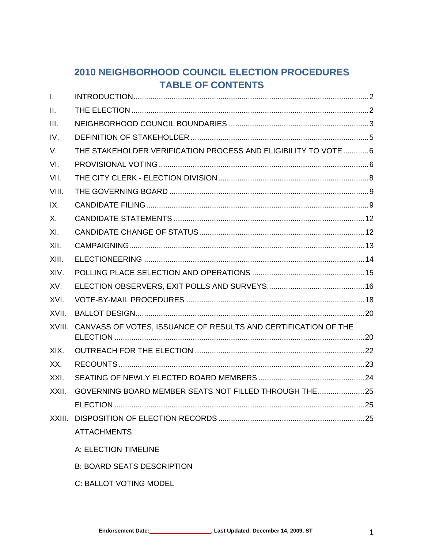# 2010 NEIGHBORHOOD COUNCIL ELECTION PROCEDURES **TABLE OF CONTENTS**

| $\mathbf{L}$ |                                                                 |  |
|--------------|-----------------------------------------------------------------|--|
| II.          |                                                                 |  |
| III.         |                                                                 |  |
| IV.          |                                                                 |  |
| V.           | THE STAKEHOLDER VERIFICATION PROCESS AND ELIGIBILITY TO VOTE  6 |  |
| VI.          |                                                                 |  |
| VII.         |                                                                 |  |
| VIII.        |                                                                 |  |
| IX.          |                                                                 |  |
| X.           |                                                                 |  |
| XI.          |                                                                 |  |
| XII.         |                                                                 |  |
| XIII.        |                                                                 |  |
| XIV.         |                                                                 |  |
| XV.          |                                                                 |  |
| XVI.         |                                                                 |  |
| XVII.        |                                                                 |  |
| XVIII.       | CANVASS OF VOTES, ISSUANCE OF RESULTS AND CERTIFICATION OF THE  |  |
| XIX.         |                                                                 |  |
| XX.          |                                                                 |  |
| XXI.         |                                                                 |  |
| XXII.        | GOVERNING BOARD MEMBER SEATS NOT FILLED THROUGH THE25           |  |
|              |                                                                 |  |
| XXIII.       |                                                                 |  |
|              | <b>ATTACHMENTS</b>                                              |  |
|              | A: ELECTION TIMELINE                                            |  |

- **B: BOARD SEATS DESCRIPTION**
- C: BALLOT VOTING MODEL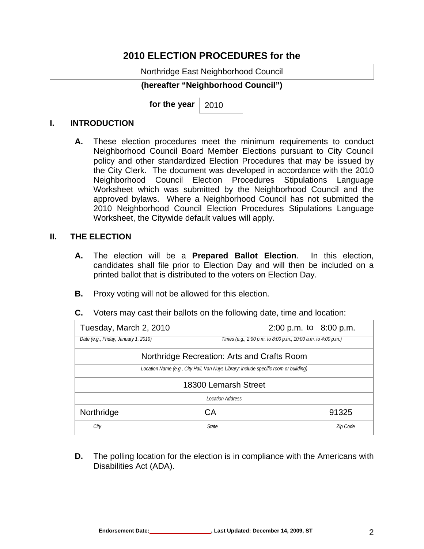## **2010 ELECTION PROCEDURES for the**

Northridge East Neighborhood Council

#### **(hereafter "Neighborhood Council")**

**for the year**  2010

#### **I. INTRODUCTION**

**A.** These election procedures meet the minimum requirements to conduct Neighborhood Council Board Member Elections pursuant to City Council policy and other standardized Election Procedures that may be issued by the City Clerk. The document was developed in accordance with the 2010 Neighborhood Council Election Procedures Stipulations Language Worksheet which was submitted by the Neighborhood Council and the approved bylaws. Where a Neighborhood Council has not submitted the 2010 Neighborhood Council Election Procedures Stipulations Language Worksheet, the Citywide default values will apply.

#### **II. THE ELECTION**

- **A.** The election will be a **Prepared Ballot Election**. In this election, candidates shall file prior to Election Day and will then be included on a printed ballot that is distributed to the voters on Election Day.
- **B.** Proxy voting will not be allowed for this election.
- **C.** Voters may cast their ballots on the following date, time and location:

| Tuesday, March 2, 2010                                                               |    | $2:00$ p.m. to $8:00$ p.m.                                    |          |  |  |
|--------------------------------------------------------------------------------------|----|---------------------------------------------------------------|----------|--|--|
| Date (e.g., Friday, January 1, 2010)                                                 |    | Times (e.g., 2:00 p.m. to 8:00 p.m., 10:00 a.m. to 4:00 p.m.) |          |  |  |
| Northridge Recreation: Arts and Crafts Room                                          |    |                                                               |          |  |  |
| Location Name (e.g., City Hall, Van Nuys Library: include specific room or building) |    |                                                               |          |  |  |
| 18300 Lemarsh Street                                                                 |    |                                                               |          |  |  |
| <b>Location Address</b>                                                              |    |                                                               |          |  |  |
| Northridge                                                                           | СA |                                                               | 91325    |  |  |
| City                                                                                 |    | <b>State</b>                                                  | Zip Code |  |  |

**D.** The polling location for the election is in compliance with the Americans with Disabilities Act (ADA).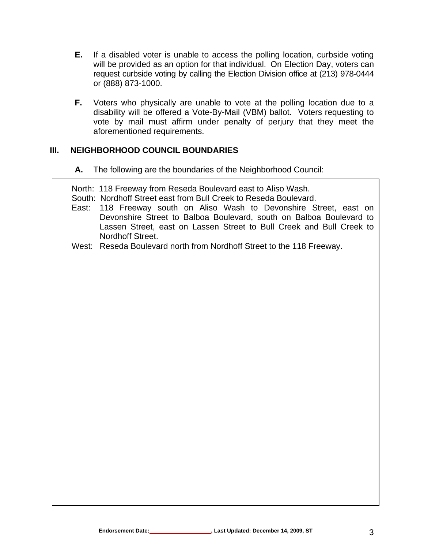- **E.** If a disabled voter is unable to access the polling location, curbside voting will be provided as an option for that individual.On Election Day, voters can request curbside voting by calling the Election Division office at (213) 978-0444 or (888) 873-1000.
- **F.** Voters who physically are unable to vote at the polling location due to a disability will be offered a Vote-By-Mail (VBM) ballot. Voters requesting to vote by mail must affirm under penalty of perjury that they meet the aforementioned requirements.

#### **III. NEIGHBORHOOD COUNCIL BOUNDARIES**

**A.** The following are the boundaries of the Neighborhood Council:

North: 118 Freeway from Reseda Boulevard east to Aliso Wash.

- South: Nordhoff Street east from Bull Creek to Reseda Boulevard.
- East: 118 Freeway south on Aliso Wash to Devonshire Street, east on Devonshire Street to Balboa Boulevard, south on Balboa Boulevard to Lassen Street, east on Lassen Street to Bull Creek and Bull Creek to Nordhoff Street.
- West: Reseda Boulevard north from Nordhoff Street to the 118 Freeway.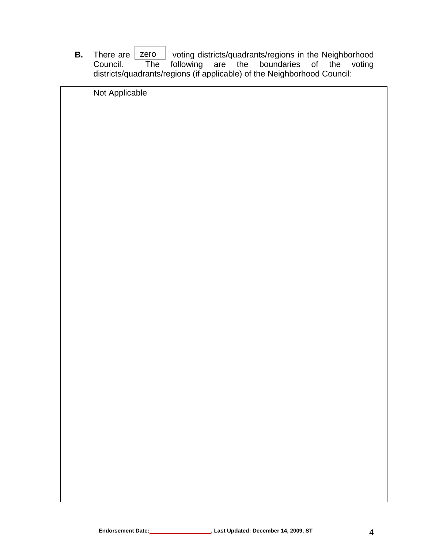**B.** There are <u>zero</u> voting districts/quadrants/regions in the Neighborhood Council. The following are the boundaries of the voting following are the boundaries of the voting districts/quadrants/regions (if applicable) of the Neighborhood Council: zero

| Not Applicable |
|----------------|
|                |
|                |
|                |
|                |
|                |
|                |
|                |
|                |
|                |
|                |
|                |
|                |
|                |
|                |
|                |
|                |
|                |
|                |
|                |
|                |
|                |
|                |
|                |
|                |
|                |
|                |
|                |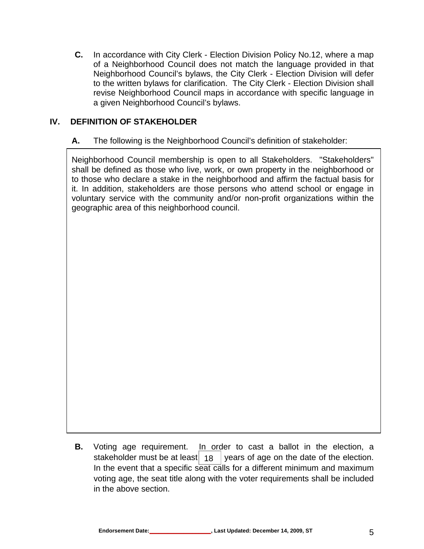**C.** In accordance with City Clerk - Election Division Policy No.12, where a map of a Neighborhood Council does not match the language provided in that Neighborhood Council's bylaws, the City Clerk - Election Division will defer to the written bylaws for clarification. The City Clerk - Election Division shall revise Neighborhood Council maps in accordance with specific language in a given Neighborhood Council's bylaws.

#### **IV. DEFINITION OF STAKEHOLDER**

#### **A.** The following is the Neighborhood Council's definition of stakeholder:

Neighborhood Council membership is open to all Stakeholders. "Stakeholders" shall be defined as those who live, work, or own property in the neighborhood or to those who declare a stake in the neighborhood and affirm the factual basis for it. In addition, stakeholders are those persons who attend school or engage in voluntary service with the community and/or non-profit organizations within the geographic area of this neighborhood council.

**B.** Voting age requirement. In order to cast a ballot in the election, a years of age on the date of the election. In the event that a specific seat calls for a different minimum and maximum voting age, the seat title along with the voter requirements shall be included in the above section. stakeholder must be at least 18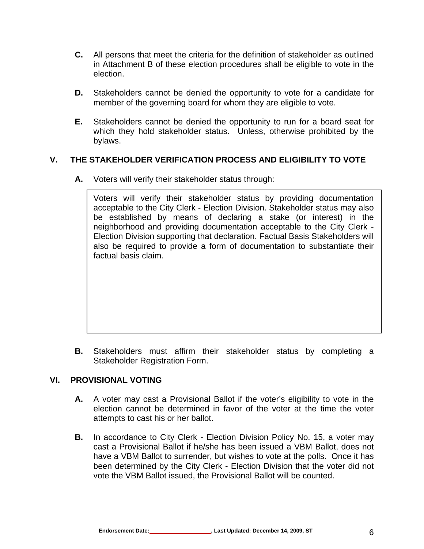- **C.** All persons that meet the criteria for the definition of stakeholder as outlined in Attachment B of these election procedures shall be eligible to vote in the election.
- **D.** Stakeholders cannot be denied the opportunity to vote for a candidate for member of the governing board for whom they are eligible to vote.
- **E.** Stakeholders cannot be denied the opportunity to run for a board seat for which they hold stakeholder status. Unless, otherwise prohibited by the bylaws.

#### **V. THE STAKEHOLDER VERIFICATION PROCESS AND ELIGIBILITY TO VOTE**

**A.** Voters will verify their stakeholder status through:

Voters will verify their stakeholder status by providing documentation acceptable to the City Clerk - Election Division. Stakeholder status may also be established by means of declaring a stake (or interest) in the neighborhood and providing documentation acceptable to the City Clerk - Election Division supporting that declaration. Factual Basis Stakeholders will also be required to provide a form of documentation to substantiate their factual basis claim.

**B.** Stakeholders must affirm their stakeholder status by completing a Stakeholder Registration Form.

#### **VI. PROVISIONAL VOTING**

- **A.** A voter may cast a Provisional Ballot if the voter's eligibility to vote in the election cannot be determined in favor of the voter at the time the voter attempts to cast his or her ballot.
- **B.** In accordance to City Clerk Election Division Policy No. 15, a voter may cast a Provisional Ballot if he/she has been issued a VBM Ballot, does not have a VBM Ballot to surrender, but wishes to vote at the polls. Once it has been determined by the City Clerk - Election Division that the voter did not vote the VBM Ballot issued, the Provisional Ballot will be counted.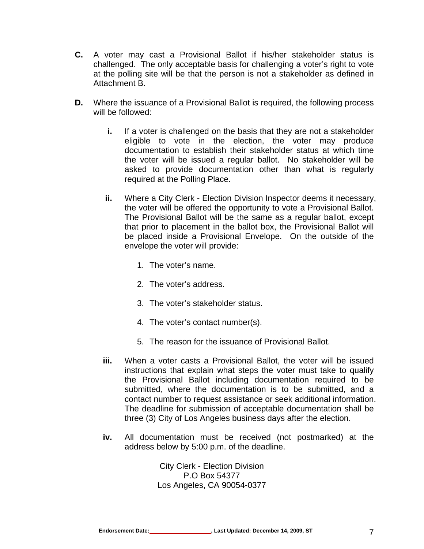- **C.** A voter may cast a Provisional Ballot if his/her stakeholder status is challenged. The only acceptable basis for challenging a voter's right to vote at the polling site will be that the person is not a stakeholder as defined in Attachment B.
- **D.** Where the issuance of a Provisional Ballot is required, the following process will be followed:
	- **i.** If a voter is challenged on the basis that they are not a stakeholder eligible to vote in the election, the voter may produce documentation to establish their stakeholder status at which time the voter will be issued a regular ballot. No stakeholder will be asked to provide documentation other than what is regularly required at the Polling Place.
	- **ii.** Where a City Clerk Election Division Inspector deems it necessary, the voter will be offered the opportunity to vote a Provisional Ballot. The Provisional Ballot will be the same as a regular ballot, except that prior to placement in the ballot box, the Provisional Ballot will be placed inside a Provisional Envelope. On the outside of the envelope the voter will provide:
		- 1. The voter's name.
		- 2. The voter's address.
		- 3. The voter's stakeholder status.
		- 4. The voter's contact number(s).
		- 5. The reason for the issuance of Provisional Ballot.
	- **iii.** When a voter casts a Provisional Ballot, the voter will be issued instructions that explain what steps the voter must take to qualify the Provisional Ballot including documentation required to be submitted, where the documentation is to be submitted, and a contact number to request assistance or seek additional information. The deadline for submission of acceptable documentation shall be three (3) City of Los Angeles business days after the election.
	- **iv.** All documentation must be received (not postmarked) at the address below by 5:00 p.m. of the deadline.

City Clerk - Election Division P.O Box 54377 Los Angeles, CA 90054-0377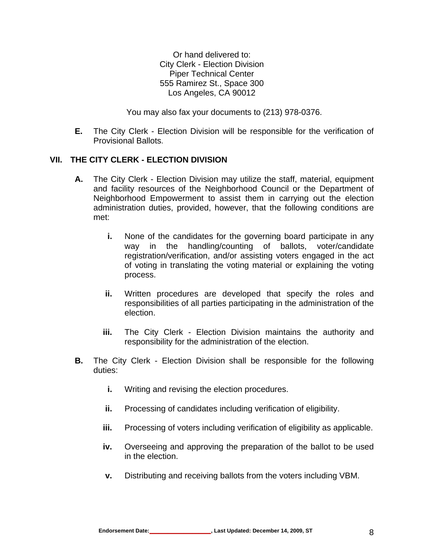Or hand delivered to: City Clerk - Election Division Piper Technical Center 555 Ramirez St., Space 300 Los Angeles, CA 90012

You may also fax your documents to (213) 978-0376.

**E.** The City Clerk - Election Division will be responsible for the verification of Provisional Ballots.

#### **VII. THE CITY CLERK - ELECTION DIVISION**

- **A.** The City Clerk Election Division may utilize the staff, material, equipment and facility resources of the Neighborhood Council or the Department of Neighborhood Empowerment to assist them in carrying out the election administration duties, provided, however, that the following conditions are met:
	- **i.** None of the candidates for the governing board participate in any way in the handling/counting of ballots, voter/candidate registration/verification, and/or assisting voters engaged in the act of voting in translating the voting material or explaining the voting process.
	- **ii.** Written procedures are developed that specify the roles and responsibilities of all parties participating in the administration of the election.
	- **iii.** The City Clerk Election Division maintains the authority and responsibility for the administration of the election.
- **B.** The City Clerk Election Division shall be responsible for the following duties:
	- **i.** Writing and revising the election procedures.
	- **ii.** Processing of candidates including verification of eligibility.
	- **iii.** Processing of voters including verification of eligibility as applicable.
	- **iv.** Overseeing and approving the preparation of the ballot to be used in the election.
	- **v.** Distributing and receiving ballots from the voters including VBM.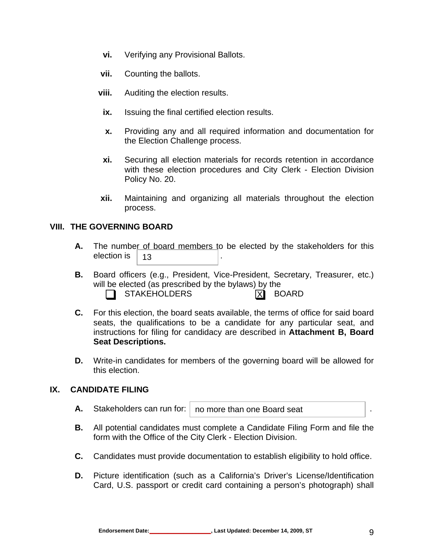- **vi.** Verifying any Provisional Ballots.
- **vii.** Counting the ballots.
- **viii.** Auditing the election results.
	- **ix.** Issuing the final certified election results.
	- **x.** Providing any and all required information and documentation for the Election Challenge process.
- **xi.** Securing all election materials for records retention in accordance with these election procedures and City Clerk - Election Division Policy No. 20.
- **xii.** Maintaining and organizing all materials throughout the election process.

#### **VIII. THE GOVERNING BOARD**

- **A.** The number of board members to be elected by the stakeholders for this election is . 13
- **B.** Board officers (e.g., President, Vice-President, Secretary, Treasurer, etc.) will be elected (as prescribed by the bylaws) by the STAKEHOLDERS **EXECUTER** X
- **C.** For this election, the board seats available, the terms of office for said board seats, the qualifications to be a candidate for any particular seat, and instructions for filing for candidacy are described in **Attachment B, Board Seat Descriptions.**
- **D.** Write-in candidates for members of the governing board will be allowed for this election.

#### **IX. CANDIDATE FILING**

- **A.** Stakeholders can run for:  $\vert$  no more than one Board seat  $\vert$ .
- **B.** All potential candidates must complete a Candidate Filing Form and file the form with the Office of the City Clerk - Election Division.
- **C.** Candidates must provide documentation to establish eligibility to hold office.
- **D.** Picture identification (such as a California's Driver's License/Identification Card, U.S. passport or credit card containing a person's photograph) shall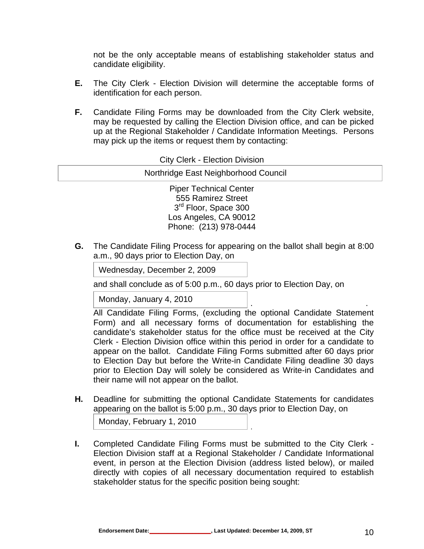not be the only acceptable means of establishing stakeholder status and candidate eligibility.

- **E.** The City Clerk Election Division will determine the acceptable forms of identification for each person.
- **F.** Candidate Filing Forms may be downloaded from the City Clerk website, may be requested by calling the Election Division office, and can be picked up at the Regional Stakeholder / Candidate Information Meetings. Persons may pick up the items or request them by contacting:

| <b>City Clerk - Election Division</b> |  |
|---------------------------------------|--|
| Northridge East Neighborhood Council  |  |
| <b>Piper Technical Center</b>         |  |
| 555 Ramirez Street                    |  |
| 3 <sup>rd</sup> Floor, Space 300      |  |
| Los Angeles, CA 90012                 |  |
| Phone: (213) 978-0444                 |  |

**G.** The Candidate Filing Process for appearing on the ballot shall begin at 8:00 a.m., 90 days prior to Election Day, on

 . Wednesday, December 2, 2009 L

and shall conclude as of 5:00 p.m., 60 days prior to Election Day, on

Monday, January 4, 2010

All Candidate Filing Forms, (excluding the optional Candidate Statement Form) and all necessary forms of documentation for establishing the candidate's stakeholder status for the office must be received at the City Clerk - Election Division office within this period in order for a candidate to appear on the ballot. Candidate Filing Forms submitted after 60 days prior to Election Day but before the Write-in Candidate Filing deadline 30 days prior to Election Day will solely be considered as Write-in Candidates and their name will not appear on the ballot.

**H.** Deadline for submitting the optional Candidate Statements for candidates appearing on the ballot is 5:00 p.m., 30 days prior to Election Day, on

Monday, February 1, 2010

**I.** Completed Candidate Filing Forms must be submitted to the City Clerk - Election Division staff at a Regional Stakeholder / Candidate Informational event, in person at the Election Division (address listed below), or mailed directly with copies of all necessary documentation required to establish stakeholder status for the specific position being sought: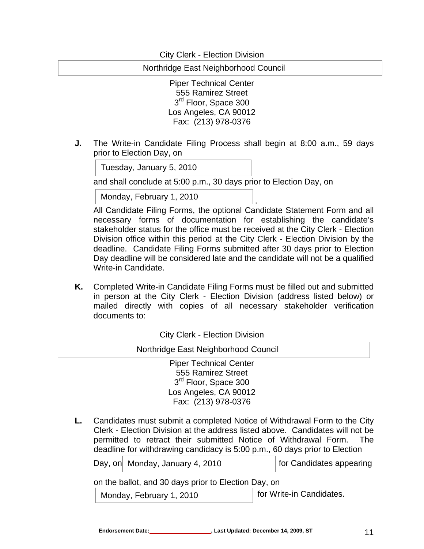City Clerk - Election Division

Northridge East Neighborhood Council

Piper Technical Center 555 Ramirez Street 3<sup>rd</sup> Floor, Space 300 Los Angeles, CA 90012 Fax: (213) 978-0376

**J.** The Write-in Candidate Filing Process shall begin at 8:00 a.m., 59 days prior to Election Day, on

Tuesday, January 5, 2010

 $\overline{\phantom{a}}$ 

 $\overline{\phantom{a}}$ 

and shall conclude at 5:00 p.m., 30 days prior to Election Day, on

. Monday, February 1, 2010

All Candidate Filing Forms, the optional Candidate Statement Form and all necessary forms of documentation for establishing the candidate's stakeholder status for the office must be received at the City Clerk - Election Division office within this period at the City Clerk - Election Division by the deadline. Candidate Filing Forms submitted after 30 days prior to Election Day deadline will be considered late and the candidate will not be a qualified Write-in Candidate.

**K.** Completed Write-in Candidate Filing Forms must be filled out and submitted in person at the City Clerk - Election Division (address listed below) or mailed directly with copies of all necessary stakeholder verification documents to:

City Clerk - Election Division

| Northridge East Neighborhood Council |
|--------------------------------------|
| <b>Piper Technical Center</b>        |
| 555 Ramirez Street                   |
| 3 <sup>rd</sup> Floor, Space 300     |
| Los Angeles, CA 90012                |
| Fax: (213) 978-0376                  |
|                                      |

**L.** Candidates must submit a completed Notice of Withdrawal Form to the City Clerk - Election Division at the address listed above. Candidates will not be permitted to retract their submitted Notice of Withdrawal Form. The deadline for withdrawing candidacy is 5:00 p.m., 60 days prior to Election

Day, on for Candidates appearing Monday, January 4, 2010

on the ballot, and 30 days prior to Election Day, on

Monday, February 1, 2010 **For Write-in Candidates.**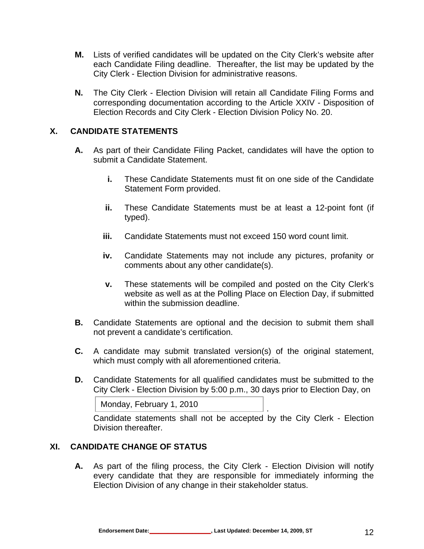- **M.** Lists of verified candidates will be updated on the City Clerk's website after each Candidate Filing deadline. Thereafter, the list may be updated by the City Clerk - Election Division for administrative reasons.
- **N.** The City Clerk Election Division will retain all Candidate Filing Forms and corresponding documentation according to the Article XXIV - Disposition of Election Records and City Clerk - Election Division Policy No. 20.

#### **X. CANDIDATE STATEMENTS**

- **A.** As part of their Candidate Filing Packet, candidates will have the option to submit a Candidate Statement.
	- **i.** These Candidate Statements must fit on one side of the Candidate Statement Form provided.
	- **ii.** These Candidate Statements must be at least a 12-point font (if typed).
	- **iii.** Candidate Statements must not exceed 150 word count limit.
	- **iv.** Candidate Statements may not include any pictures, profanity or comments about any other candidate(s).
	- **v.** These statements will be compiled and posted on the City Clerk's website as well as at the Polling Place on Election Day, if submitted within the submission deadline.
- **B.** Candidate Statements are optional and the decision to submit them shall not prevent a candidate's certification.
- **C.** A candidate may submit translated version(s) of the original statement, which must comply with all aforementioned criteria.
- **D.** Candidate Statements for all qualified candidates must be submitted to the City Clerk - Election Division by 5:00 p.m., 30 days prior to Election Day, on

```
 . 
Monday, February 1, 2010
```
Candidate statements shall not be accepted by the City Clerk - Election Division thereafter.

#### **XI. CANDIDATE CHANGE OF STATUS**

**A.** As part of the filing process, the City Clerk - Election Division will notify every candidate that they are responsible for immediately informing the Election Division of any change in their stakeholder status.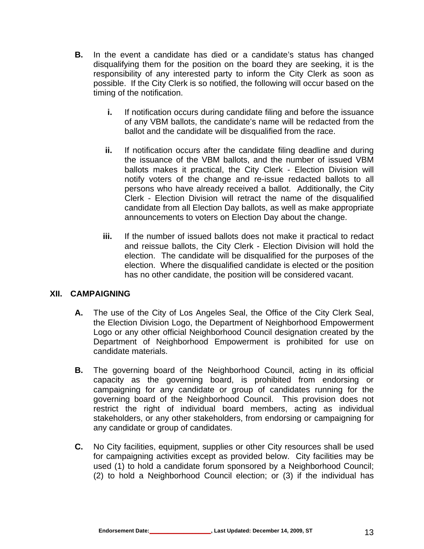- **B.** In the event a candidate has died or a candidate's status has changed disqualifying them for the position on the board they are seeking, it is the responsibility of any interested party to inform the City Clerk as soon as possible. If the City Clerk is so notified, the following will occur based on the timing of the notification.
	- **i.** If notification occurs during candidate filing and before the issuance of any VBM ballots, the candidate's name will be redacted from the ballot and the candidate will be disqualified from the race.
	- **ii.** If notification occurs after the candidate filing deadline and during the issuance of the VBM ballots, and the number of issued VBM ballots makes it practical, the City Clerk - Election Division will notify voters of the change and re-issue redacted ballots to all persons who have already received a ballot. Additionally, the City Clerk - Election Division will retract the name of the disqualified candidate from all Election Day ballots, as well as make appropriate announcements to voters on Election Day about the change.
	- **iii.** If the number of issued ballots does not make it practical to redact and reissue ballots, the City Clerk - Election Division will hold the election. The candidate will be disqualified for the purposes of the election. Where the disqualified candidate is elected or the position has no other candidate, the position will be considered vacant.

#### **XII. CAMPAIGNING**

- **A.** The use of the City of Los Angeles Seal, the Office of the City Clerk Seal, the Election Division Logo, the Department of Neighborhood Empowerment Logo or any other official Neighborhood Council designation created by the Department of Neighborhood Empowerment is prohibited for use on candidate materials.
- **B.** The governing board of the Neighborhood Council, acting in its official capacity as the governing board, is prohibited from endorsing or campaigning for any candidate or group of candidates running for the governing board of the Neighborhood Council. This provision does not restrict the right of individual board members, acting as individual stakeholders, or any other stakeholders, from endorsing or campaigning for any candidate or group of candidates.
- **C.** No City facilities, equipment, supplies or other City resources shall be used for campaigning activities except as provided below. City facilities may be used (1) to hold a candidate forum sponsored by a Neighborhood Council; (2) to hold a Neighborhood Council election; or (3) if the individual has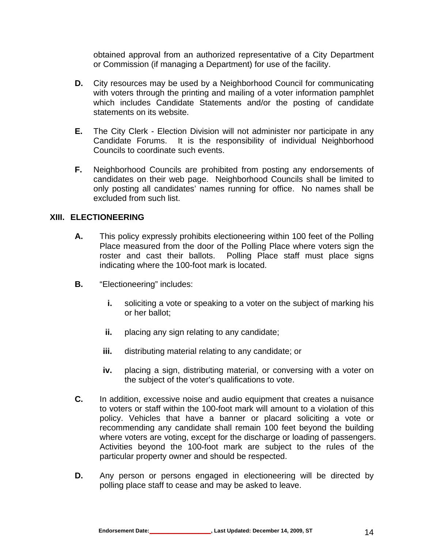obtained approval from an authorized representative of a City Department or Commission (if managing a Department) for use of the facility.

- **D.** City resources may be used by a Neighborhood Council for communicating with voters through the printing and mailing of a voter information pamphlet which includes Candidate Statements and/or the posting of candidate statements on its website.
- **E.** The City Clerk Election Division will not administer nor participate in any Candidate Forums. It is the responsibility of individual Neighborhood Councils to coordinate such events.
- **F.** Neighborhood Councils are prohibited from posting any endorsements of candidates on their web page. Neighborhood Councils shall be limited to only posting all candidates' names running for office. No names shall be excluded from such list.

#### **XIII. ELECTIONEERING**

- **A.** This policy expressly prohibits electioneering within 100 feet of the Polling Place measured from the door of the Polling Place where voters sign the roster and cast their ballots. Polling Place staff must place signs indicating where the 100-foot mark is located.
- **B.** "Electioneering" includes:
	- **i.** soliciting a vote or speaking to a voter on the subject of marking his or her ballot;
	- **ii.** placing any sign relating to any candidate;
	- **iii.** distributing material relating to any candidate; or
	- **iv.** placing a sign, distributing material, or conversing with a voter on the subject of the voter's qualifications to vote.
- **C.** In addition, excessive noise and audio equipment that creates a nuisance to voters or staff within the 100-foot mark will amount to a violation of this policy. Vehicles that have a banner or placard soliciting a vote or recommending any candidate shall remain 100 feet beyond the building where voters are voting, except for the discharge or loading of passengers. Activities beyond the 100-foot mark are subject to the rules of the particular property owner and should be respected.
- **D.** Any person or persons engaged in electioneering will be directed by polling place staff to cease and may be asked to leave.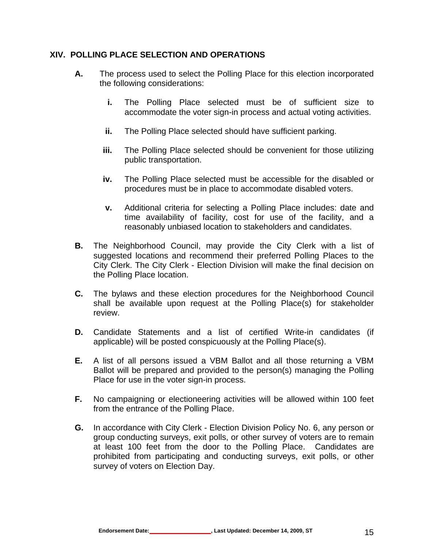#### **XIV. POLLING PLACE SELECTION AND OPERATIONS**

- **A.** The process used to select the Polling Place for this election incorporated the following considerations:
	- **i.** The Polling Place selected must be of sufficient size to accommodate the voter sign-in process and actual voting activities.
	- **ii.** The Polling Place selected should have sufficient parking.
	- **iii.** The Polling Place selected should be convenient for those utilizing public transportation.
	- **iv.** The Polling Place selected must be accessible for the disabled or procedures must be in place to accommodate disabled voters.
	- **v.** Additional criteria for selecting a Polling Place includes: date and time availability of facility, cost for use of the facility, and a reasonably unbiased location to stakeholders and candidates.
- **B.** The Neighborhood Council, may provide the City Clerk with a list of suggested locations and recommend their preferred Polling Places to the City Clerk. The City Clerk - Election Division will make the final decision on the Polling Place location.
- **C.** The bylaws and these election procedures for the Neighborhood Council shall be available upon request at the Polling Place(s) for stakeholder review.
- **D.** Candidate Statements and a list of certified Write-in candidates (if applicable) will be posted conspicuously at the Polling Place(s).
- **E.** A list of all persons issued a VBM Ballot and all those returning a VBM Ballot will be prepared and provided to the person(s) managing the Polling Place for use in the voter sign-in process.
- **F.** No campaigning or electioneering activities will be allowed within 100 feet from the entrance of the Polling Place.
- **G.** In accordance with City Clerk Election Division Policy No. 6, any person or group conducting surveys, exit polls, or other survey of voters are to remain at least 100 feet from the door to the Polling Place. Candidates are prohibited from participating and conducting surveys, exit polls, or other survey of voters on Election Day.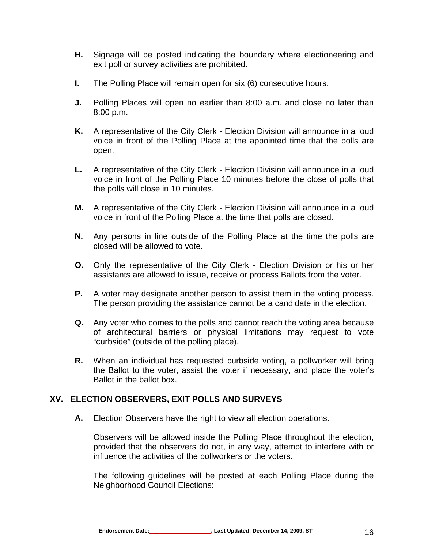- **H.** Signage will be posted indicating the boundary where electioneering and exit poll or survey activities are prohibited.
- **I.** The Polling Place will remain open for six (6) consecutive hours.
- **J.** Polling Places will open no earlier than 8:00 a.m. and close no later than 8:00 p.m.
- **K.** A representative of the City Clerk Election Division will announce in a loud voice in front of the Polling Place at the appointed time that the polls are open.
- **L.** A representative of the City Clerk Election Division will announce in a loud voice in front of the Polling Place 10 minutes before the close of polls that the polls will close in 10 minutes.
- **M.** A representative of the City Clerk Election Division will announce in a loud voice in front of the Polling Place at the time that polls are closed.
- **N.** Any persons in line outside of the Polling Place at the time the polls are closed will be allowed to vote.
- **O.** Only the representative of the City Clerk Election Division or his or her assistants are allowed to issue, receive or process Ballots from the voter.
- **P.** A voter may designate another person to assist them in the voting process. The person providing the assistance cannot be a candidate in the election.
- **Q.** Any voter who comes to the polls and cannot reach the voting area because of architectural barriers or physical limitations may request to vote "curbside" (outside of the polling place).
- **R.** When an individual has requested curbside voting, a pollworker will bring the Ballot to the voter, assist the voter if necessary, and place the voter's Ballot in the ballot box.

#### **XV. ELECTION OBSERVERS, EXIT POLLS AND SURVEYS**

**A.** Election Observers have the right to view all election operations.

Observers will be allowed inside the Polling Place throughout the election, provided that the observers do not, in any way, attempt to interfere with or influence the activities of the pollworkers or the voters.

The following guidelines will be posted at each Polling Place during the Neighborhood Council Elections: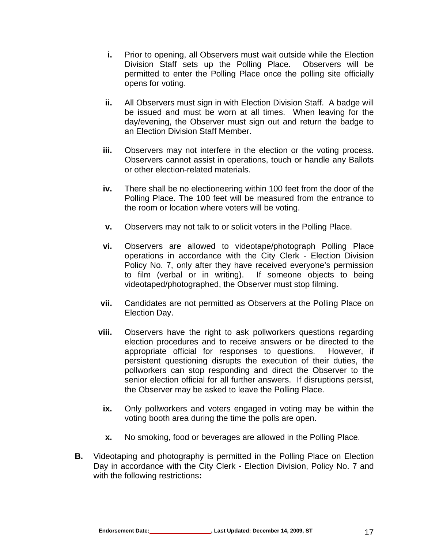- **i.** Prior to opening, all Observers must wait outside while the Election Division Staff sets up the Polling Place. Observers will be permitted to enter the Polling Place once the polling site officially opens for voting.
- **ii.** All Observers must sign in with Election Division Staff. A badge will be issued and must be worn at all times. When leaving for the day/evening, the Observer must sign out and return the badge to an Election Division Staff Member.
- **iii.** Observers may not interfere in the election or the voting process. Observers cannot assist in operations, touch or handle any Ballots or other election-related materials.
- **iv.** There shall be no electioneering within 100 feet from the door of the Polling Place. The 100 feet will be measured from the entrance to the room or location where voters will be voting.
- **v.** Observers may not talk to or solicit voters in the Polling Place.
- **vi.** Observers are allowed to videotape/photograph Polling Place operations in accordance with the City Clerk - Election Division Policy No. 7, only after they have received everyone's permission to film (verbal or in writing). If someone objects to being videotaped/photographed, the Observer must stop filming.
- **vii.** Candidates are not permitted as Observers at the Polling Place on Election Day.
- **viii.** Observers have the right to ask pollworkers questions regarding election procedures and to receive answers or be directed to the appropriate official for responses to questions. However, if persistent questioning disrupts the execution of their duties, the pollworkers can stop responding and direct the Observer to the senior election official for all further answers. If disruptions persist, the Observer may be asked to leave the Polling Place.
	- **ix.** Only pollworkers and voters engaged in voting may be within the voting booth area during the time the polls are open.
	- **x.** No smoking, food or beverages are allowed in the Polling Place.
- **B.** Videotaping and photography is permitted in the Polling Place on Election Day in accordance with the City Clerk - Election Division, Policy No. 7 and with the following restrictions**:**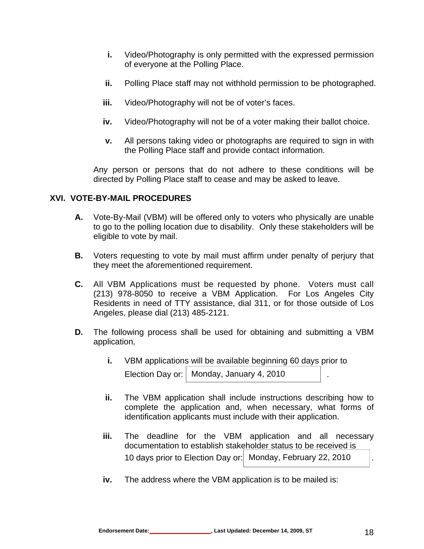- **i.** Video/Photography is only permitted with the expressed permission of everyone at the Polling Place.
- **ii.** Polling Place staff may not withhold permission to be photographed.
- **iii.** Video/Photography will not be of voter's faces.
- **iv.** Video/Photography will not be of a voter making their ballot choice.
- **v.** All persons taking video or photographs are required to sign in with the Polling Place staff and provide contact information.

Any person or persons that do not adhere to these conditions will be directed by Polling Place staff to cease and may be asked to leave.

#### **XVI. VOTE-BY-MAIL PROCEDURES**

- **A.** Vote-By-Mail (VBM) will be offered only to voters who physically are unable to go to the polling location due to disability.Only these stakeholders will be eligible to vote by mail.
- **B.** Voters requesting to vote by mail must affirm under penalty of perjury that they meet the aforementioned requirement.
- **C.** All VBM Applications must be requested by phone. Voters must call (213) 978-8050 to receive a VBM Application. For Los Angeles City Residents in need of TTY assistance, dial 311, or for those outside of Los Angeles, please dial (213) 485-2121.
- **D.** The following process shall be used for obtaining and submitting a VBM application,
	- **i.** VBM applications will be available beginning 60 days prior to Election Day or:  $\vert$  Monday, January 4, 2010  $\vert$ .
	- **ii.** The VBM application shall include instructions describing how to complete the application and, when necessary, what forms of identification applicants must include with their application.
	- **iii.** The deadline for the VBM application and all necessary documentation to establish stakeholder status to be received is 10 days prior to Election Day or: Monday, February 22, 2010 |.
	- **iv.** The address where the VBM application is to be mailed is: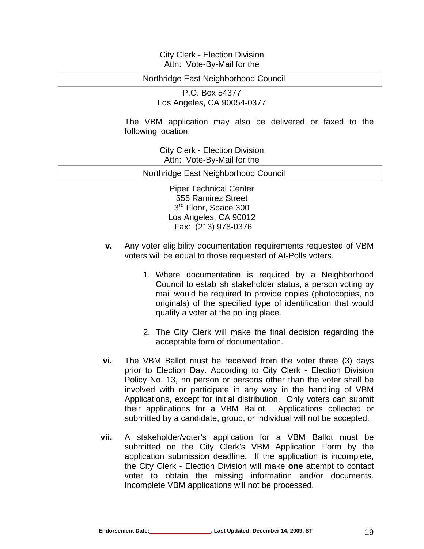#### City Clerk - Election Division Attn: Vote-By-Mail for the

#### Northridge East Neighborhood Council

P.O. Box 54377 Los Angeles, CA 90054-0377

The VBM application may also be delivered or faxed to the following location:

> City Clerk - Election Division Attn: Vote-By-Mail for the

Northridge East Neighborhood Council

Piper Technical Center 555 Ramirez Street 3<sup>rd</sup> Floor, Space 300 Los Angeles, CA 90012 Fax: (213) 978-0376

- **v.** Any voter eligibility documentation requirements requested of VBM voters will be equal to those requested of At-Polls voters.
	- 1. Where documentation is required by a Neighborhood Council to establish stakeholder status, a person voting by mail would be required to provide copies (photocopies, no originals) of the specified type of identification that would qualify a voter at the polling place.
	- 2. The City Clerk will make the final decision regarding the acceptable form of documentation.
- **vi.** The VBM Ballot must be received from the voter three (3) days prior to Election Day. According to City Clerk - Election Division Policy No. 13, no person or persons other than the voter shall be involved with or participate in any way in the handling of VBM Applications, except for initial distribution. Only voters can submit their applications for a VBM Ballot. Applications collected or submitted by a candidate, group, or individual will not be accepted.
- **vii.** A stakeholder/voter's application for a VBM Ballot must be submitted on the City Clerk's VBM Application Form by the application submission deadline. If the application is incomplete, the City Clerk - Election Division will make **one** attempt to contact voter to obtain the missing information and/or documents. Incomplete VBM applications will not be processed.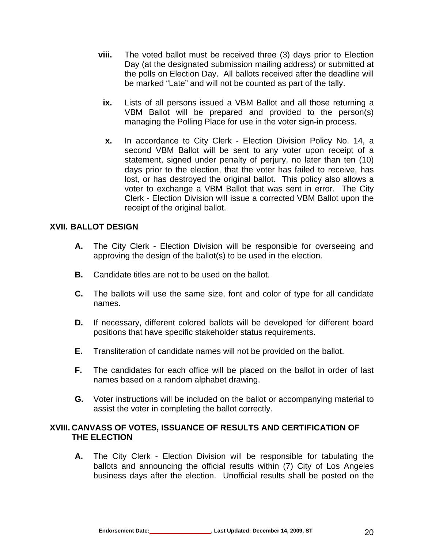- **viii.** The voted ballot must be received three (3) days prior to Election Day (at the designated submission mailing address) or submitted at the polls on Election Day. All ballots received after the deadline will be marked "Late" and will not be counted as part of the tally.
	- **ix.** Lists of all persons issued a VBM Ballot and all those returning a VBM Ballot will be prepared and provided to the person(s) managing the Polling Place for use in the voter sign-in process.
	- **x.** In accordance to City Clerk Election Division Policy No. 14, a second VBM Ballot will be sent to any voter upon receipt of a statement, signed under penalty of perjury, no later than ten (10) days prior to the election, that the voter has failed to receive, has lost, or has destroyed the original ballot. This policy also allows a voter to exchange a VBM Ballot that was sent in error. The City Clerk - Election Division will issue a corrected VBM Ballot upon the receipt of the original ballot.

#### **XVII. BALLOT DESIGN**

- **A.** The City Clerk Election Division will be responsible for overseeing and approving the design of the ballot(s) to be used in the election.
- **B.** Candidate titles are not to be used on the ballot.
- **C.** The ballots will use the same size, font and color of type for all candidate names.
- **D.** If necessary, different colored ballots will be developed for different board positions that have specific stakeholder status requirements.
- **E.** Transliteration of candidate names will not be provided on the ballot.
- **F.** The candidates for each office will be placed on the ballot in order of last names based on a random alphabet drawing.
- **G.** Voter instructions will be included on the ballot or accompanying material to assist the voter in completing the ballot correctly.

#### **XVIII. CANVASS OF VOTES, ISSUANCE OF RESULTS AND CERTIFICATION OF THE ELECTION**

**A.** The City Clerk - Election Division will be responsible for tabulating the ballots and announcing the official results within (7) City of Los Angeles business days after the election. Unofficial results shall be posted on the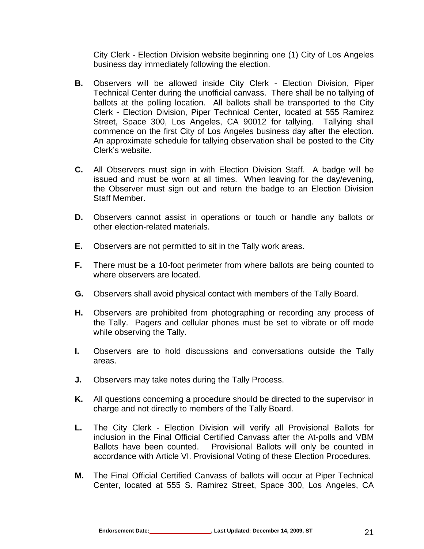City Clerk - Election Division website beginning one (1) City of Los Angeles business day immediately following the election.

- **B.** Observers will be allowed inside City Clerk Election Division, Piper Technical Center during the unofficial canvass. There shall be no tallying of ballots at the polling location. All ballots shall be transported to the City Clerk - Election Division, Piper Technical Center, located at 555 Ramirez Street, Space 300, Los Angeles, CA 90012 for tallying. Tallying shall commence on the first City of Los Angeles business day after the election. An approximate schedule for tallying observation shall be posted to the City Clerk's website.
- **C.** All Observers must sign in with Election Division Staff. A badge will be issued and must be worn at all times. When leaving for the day/evening, the Observer must sign out and return the badge to an Election Division Staff Member.
- **D.** Observers cannot assist in operations or touch or handle any ballots or other election-related materials.
- **E.** Observers are not permitted to sit in the Tally work areas.
- **F.** There must be a 10-foot perimeter from where ballots are being counted to where observers are located.
- **G.** Observers shall avoid physical contact with members of the Tally Board.
- **H.** Observers are prohibited from photographing or recording any process of the Tally. Pagers and cellular phones must be set to vibrate or off mode while observing the Tally.
- **I.** Observers are to hold discussions and conversations outside the Tally areas.
- **J.** Observers may take notes during the Tally Process.
- **K.** All questions concerning a procedure should be directed to the supervisor in charge and not directly to members of the Tally Board.
- **L.** The City Clerk Election Division will verify all Provisional Ballots for inclusion in the Final Official Certified Canvass after the At-polls and VBM Ballots have been counted. Provisional Ballots will only be counted in accordance with Article VI. Provisional Voting of these Election Procedures.
- **M.** The Final Official Certified Canvass of ballots will occur at Piper Technical Center, located at 555 S. Ramirez Street, Space 300, Los Angeles, CA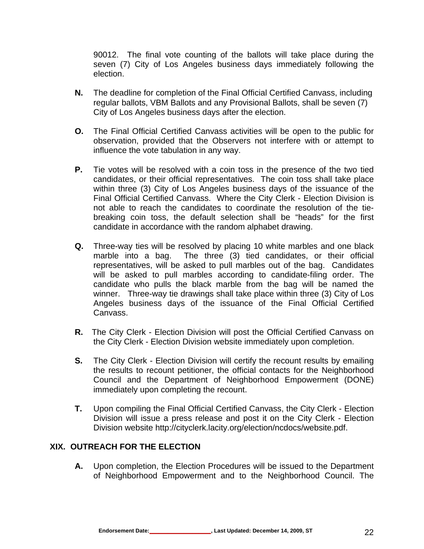90012. The final vote counting of the ballots will take place during the seven (7) City of Los Angeles business days immediately following the election.

- **N.** The deadline for completion of the Final Official Certified Canvass, including regular ballots, VBM Ballots and any Provisional Ballots, shall be seven (7) City of Los Angeles business days after the election.
- **O.** The Final Official Certified Canvass activities will be open to the public for observation, provided that the Observers not interfere with or attempt to influence the vote tabulation in any way.
- **P.** Tie votes will be resolved with a coin toss in the presence of the two tied candidates, or their official representatives. The coin toss shall take place within three (3) City of Los Angeles business days of the issuance of the Final Official Certified Canvass. Where the City Clerk - Election Division is not able to reach the candidates to coordinate the resolution of the tiebreaking coin toss, the default selection shall be "heads" for the first candidate in accordance with the random alphabet drawing.
- **Q.** Three-way ties will be resolved by placing 10 white marbles and one black marble into a bag. The three (3) tied candidates, or their official representatives, will be asked to pull marbles out of the bag. Candidates will be asked to pull marbles according to candidate-filing order. The candidate who pulls the black marble from the bag will be named the winner. Three-way tie drawings shall take place within three (3) City of Los Angeles business days of the issuance of the Final Official Certified Canvass.
- **R.** The City Clerk Election Division will post the Official Certified Canvass on the City Clerk - Election Division website immediately upon completion.
- **S.** The City Clerk Election Division will certify the recount results by emailing the results to recount petitioner, the official contacts for the Neighborhood Council and the Department of Neighborhood Empowerment (DONE) immediately upon completing the recount.
- **T.** Upon compiling the Final Official Certified Canvass, the City Clerk Election Division will issue a press release and post it on the City Clerk - Election Division website http://cityclerk.lacity.org/election/ncdocs/website.pdf.

#### **XIX. OUTREACH FOR THE ELECTION**

**A.** Upon completion, the Election Procedures will be issued to the Department of Neighborhood Empowerment and to the Neighborhood Council. The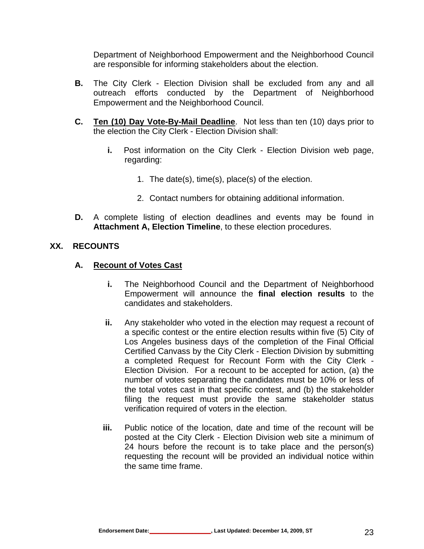Department of Neighborhood Empowerment and the Neighborhood Council are responsible for informing stakeholders about the election.

- **B.** The City Clerk Election Division shall be excluded from any and all outreach efforts conducted by the Department of Neighborhood Empowerment and the Neighborhood Council.
- **C. Ten (10) Day Vote-By-Mail Deadline**.Not less than ten (10) days prior to the election the City Clerk - Election Division shall:
	- **i.** Post information on the City Clerk Election Division web page, regarding:
		- 1. The date(s), time(s), place(s) of the election.
		- 2. Contact numbers for obtaining additional information.
- **D.** A complete listing of election deadlines and events may be found in **Attachment A, Election Timeline**, to these election procedures.

#### **XX. RECOUNTS**

#### **A. Recount of Votes Cast**

- **i.** The Neighborhood Council and the Department of Neighborhood Empowerment will announce the **final election results** to the candidates and stakeholders.
- **ii.** Any stakeholder who voted in the election may request a recount of a specific contest or the entire election results within five (5) City of Los Angeles business days of the completion of the Final Official Certified Canvass by the City Clerk - Election Division by submitting a completed Request for Recount Form with the City Clerk - Election Division. For a recount to be accepted for action, (a) the number of votes separating the candidates must be 10% or less of the total votes cast in that specific contest, and (b) the stakeholder filing the request must provide the same stakeholder status verification required of voters in the election.
- **iii.** Public notice of the location, date and time of the recount will be posted at the City Clerk - Election Division web site a minimum of 24 hours before the recount is to take place and the person(s) requesting the recount will be provided an individual notice within the same time frame.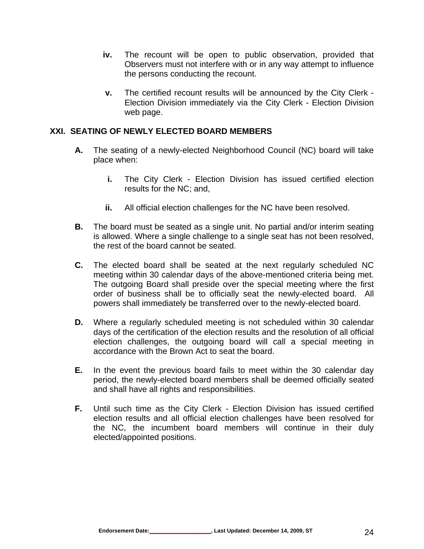- **iv.** The recount will be open to public observation, provided that Observers must not interfere with or in any way attempt to influence the persons conducting the recount.
- **v.** The certified recount results will be announced by the City Clerk Election Division immediately via the City Clerk - Election Division web page.

#### **XXI. SEATING OF NEWLY ELECTED BOARD MEMBERS**

- **A.** The seating of a newly-elected Neighborhood Council (NC) board will take place when:
	- **i.** The City Clerk Election Division has issued certified election results for the NC; and,
	- **ii.** All official election challenges for the NC have been resolved.
- **B.** The board must be seated as a single unit. No partial and/or interim seating is allowed. Where a single challenge to a single seat has not been resolved, the rest of the board cannot be seated.
- **C.** The elected board shall be seated at the next regularly scheduled NC meeting within 30 calendar days of the above-mentioned criteria being met. The outgoing Board shall preside over the special meeting where the first order of business shall be to officially seat the newly-elected board. All powers shall immediately be transferred over to the newly-elected board.
- **D.** Where a regularly scheduled meeting is not scheduled within 30 calendar days of the certification of the election results and the resolution of all official election challenges, the outgoing board will call a special meeting in accordance with the Brown Act to seat the board.
- **E.** In the event the previous board fails to meet within the 30 calendar day period, the newly-elected board members shall be deemed officially seated and shall have all rights and responsibilities.
- **F.** Until such time as the City Clerk Election Division has issued certified election results and all official election challenges have been resolved for the NC, the incumbent board members will continue in their duly elected/appointed positions.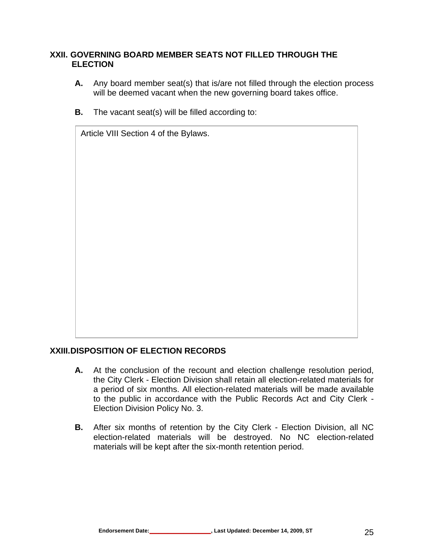#### **XXII. GOVERNING BOARD MEMBER SEATS NOT FILLED THROUGH THE ELECTION**

- **A.** Any board member seat(s) that is/are not filled through the election process will be deemed vacant when the new governing board takes office.
- **B.** The vacant seat(s) will be filled according to:

Article VIII Section 4 of the Bylaws.

#### **XXIII. DISPOSITION OF ELECTION RECORDS**

- **A.** At the conclusion of the recount and election challenge resolution period, the City Clerk - Election Division shall retain all election-related materials for a period of six months. All election-related materials will be made available to the public in accordance with the Public Records Act and City Clerk - Election Division Policy No. 3.
- **B.** After six months of retention by the City Clerk Election Division, all NC election-related materials will be destroyed. No NC election-related materials will be kept after the six-month retention period.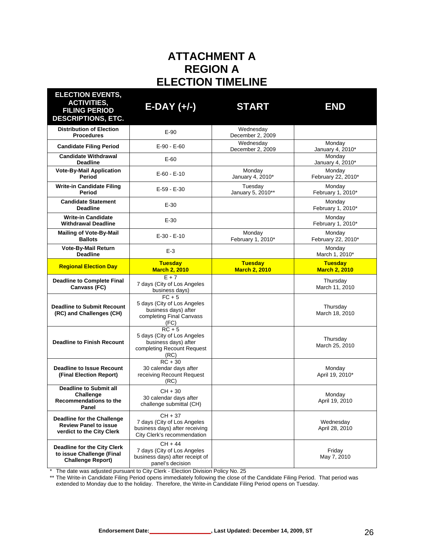# **ATTACHMENT A REGION A ELECTION TIMELINE**

| <b>ELECTION EVENTS,</b><br><b>ACTIVITIES,</b><br><b>FILING PERIOD</b><br><b>DESCRIPTIONS, ETC.</b>                                                                                      | $E-DAY (+/-)$                                                                                                  | <b>START</b>                           | <b>END</b>                             |
|-----------------------------------------------------------------------------------------------------------------------------------------------------------------------------------------|----------------------------------------------------------------------------------------------------------------|----------------------------------------|----------------------------------------|
| <b>Distribution of Election</b><br><b>Procedures</b>                                                                                                                                    | $E-90$                                                                                                         | Wednesday<br>December 2, 2009          |                                        |
| <b>Candidate Filing Period</b>                                                                                                                                                          | $E-90 - E-60$                                                                                                  | Wednesday<br>December 2, 2009          | Monday<br>January 4, 2010*             |
| <b>Candidate Withdrawal</b><br><b>Deadline</b>                                                                                                                                          | E-60                                                                                                           |                                        | Monday<br>January 4, 2010*             |
| <b>Vote-By-Mail Application</b><br>Period                                                                                                                                               | $E-60 - E-10$                                                                                                  | Monday<br>January 4, 2010*             | Monday<br>February 22, 2010*           |
| <b>Write-in Candidate Filing</b><br>Period                                                                                                                                              | $E-59 - E-30$                                                                                                  | Tuesday<br>January 5, 2010**           | Monday<br>February 1, 2010*            |
| <b>Candidate Statement</b><br><b>Deadline</b>                                                                                                                                           | $E-30$                                                                                                         |                                        | Monday<br>February 1, 2010*            |
| <b>Write-in Candidate</b><br><b>Withdrawal Deadline</b>                                                                                                                                 | $E-30$                                                                                                         |                                        | Monday<br>February 1, 2010*            |
| <b>Mailing of Vote-By-Mail</b><br><b>Ballots</b>                                                                                                                                        | $E-30 - E-10$                                                                                                  | Monday<br>February 1, 2010*            | Monday<br>February 22, 2010*           |
| Vote-By-Mail Return<br><b>Deadline</b>                                                                                                                                                  | $E-3$                                                                                                          |                                        | Monday<br>March 1, 2010*               |
| <b>Regional Election Day</b>                                                                                                                                                            | <b>Tuesday</b><br><b>March 2, 2010</b>                                                                         | <b>Tuesday</b><br><b>March 2, 2010</b> | <b>Tuesday</b><br><b>March 2, 2010</b> |
| <b>Deadline to Complete Final</b><br>Canvass (FC)                                                                                                                                       | $E + 7$<br>7 days (City of Los Angeles<br>business days)                                                       |                                        | Thursday<br>March 11, 2010             |
| <b>Deadline to Submit Recount</b><br>(RC) and Challenges (CH)                                                                                                                           | $\overline{FC} + 5$<br>5 days (City of Los Angeles<br>business days) after<br>completing Final Canvass<br>(FC) |                                        | Thursday<br>March 18, 2010             |
| <b>Deadline to Finish Recount</b>                                                                                                                                                       | $RC + 5$<br>5 days (City of Los Angeles<br>business days) after<br>completing Recount Request<br>(RC)          |                                        | Thursday<br>March 25, 2010             |
| <b>Deadline to Issue Recount</b><br>(Final Election Report)                                                                                                                             | $\overline{RC}$ + 30<br>30 calendar days after<br>receiving Recount Request<br>(RC)                            |                                        | Monday<br>April 19, 2010*              |
| <b>Deadline to Submit all</b><br>Challenge<br>Recommendations to the<br>Panel                                                                                                           | $CH + 30$<br>30 calendar days after<br>challenge submittal (CH)                                                |                                        | Monday<br>April 19, 2010               |
| Deadline for the Challenge<br><b>Review Panel to issue</b><br>verdict to the City Clerk                                                                                                 | $CH + 37$<br>7 days (City of Los Angeles<br>business days) after receiving<br>City Clerk's recommendation      |                                        | Wednesday<br>April 28, 2010            |
| $CH + 44$<br>Deadline for the City Clerk<br>7 days (City of Los Angeles<br>to issue Challenge (Final<br>business days) after receipt of<br><b>Challenge Report)</b><br>panel's decision |                                                                                                                |                                        | Friday<br>May 7, 2010                  |

\* The date was adjusted pursuant to City Clerk - Election Division Policy No. 25

\*\* The Write-in Candidate Filing Period opens immediately following the close of the Candidate Filing Period. That period was extended to Monday due to the holiday. Therefore, the Write-in Candidate Filing Period opens on Tuesday.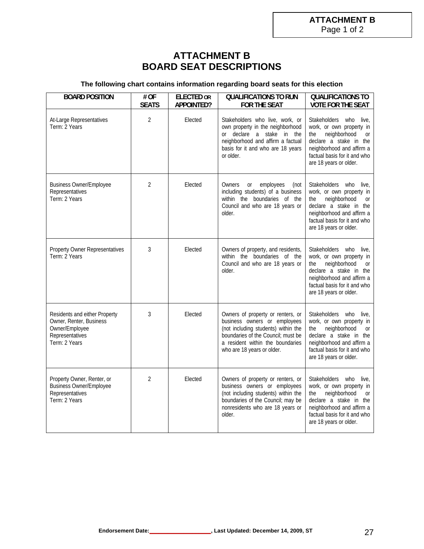## **ATTACHMENT B BOARD SEAT DESCRIPTIONS**

#### **The following chart contains information regarding board seats for this election**

| <b>BOARD POSITION</b>                                                                                          | # OF<br><b>SEATS</b> | <b>ELECTED OR</b><br>APPOINTED? | <b>QUALIFICATIONS TO RUN</b><br>FOR THE SEAT                                                                                                                                                                     | <b>QUALIFICATIONS TO</b><br><b>VOTE FOR THE SEAT</b>                                                                                                                                                       |
|----------------------------------------------------------------------------------------------------------------|----------------------|---------------------------------|------------------------------------------------------------------------------------------------------------------------------------------------------------------------------------------------------------------|------------------------------------------------------------------------------------------------------------------------------------------------------------------------------------------------------------|
| At-Large Representatives<br>Term: 2 Years                                                                      | $\overline{2}$       | Elected                         | Stakeholders who live, work, or<br>own property in the neighborhood<br>or declare a stake in the<br>neighborhood and affirm a factual<br>basis for it and who are 18 years<br>or older.                          | Stakeholders who<br>live,<br>work, or own property in<br>neighborhood<br>the<br><b>or</b><br>declare a stake in the<br>neighborhood and affirm a<br>factual basis for it and who<br>are 18 years or older. |
| <b>Business Owner/Employee</b><br>Representatives<br>Term: 2 Years                                             | $\overline{2}$       | Elected                         | Owners<br>or<br>employees<br>(not<br>including students) of a business<br>within the boundaries of the<br>Council and who are 18 years or<br>older.                                                              | Stakeholders who<br>live,<br>work, or own property in<br>neighborhood<br>the<br><b>or</b><br>declare a stake in the<br>neighborhood and affirm a<br>factual basis for it and who<br>are 18 years or older. |
| <b>Property Owner Representatives</b><br>Term: 2 Years                                                         | 3                    | Elected                         | Owners of property, and residents,<br>within the boundaries of the<br>Council and who are 18 years or<br>older.                                                                                                  | Stakeholders who live,<br>work, or own property in<br>neighborhood<br>the<br><b>or</b><br>declare a stake in the<br>neighborhood and affirm a<br>factual basis for it and who<br>are 18 years or older.    |
| Residents and either Property<br>Owner, Renter, Business<br>Owner/Employee<br>Representatives<br>Term: 2 Years | 3                    | Elected                         | Owners of property or renters, or<br>business owners or employees<br>(not including students) within the<br>boundaries of the Council; must be<br>a resident within the boundaries<br>who are 18 years or older. | Stakeholders who live,<br>work, or own property in<br>neighborhood<br>the<br>or<br>declare a stake in the<br>neighborhood and affirm a<br>factual basis for it and who<br>are 18 years or older.           |
| Property Owner, Renter, or<br>Business Owner/Employee<br>Representatives<br>Term: 2 Years                      | $\mathfrak{D}$       | Elected                         | Owners of property or renters, or<br>business owners or employees<br>(not including students) within the<br>boundaries of the Council; may be<br>nonresidents who are 18 years or<br>older.                      | Stakeholders who live,<br>work, or own property in<br>neighborhood<br>the<br><b>or</b><br>declare a stake in the<br>neighborhood and affirm a<br>factual basis for it and who<br>are 18 years or older.    |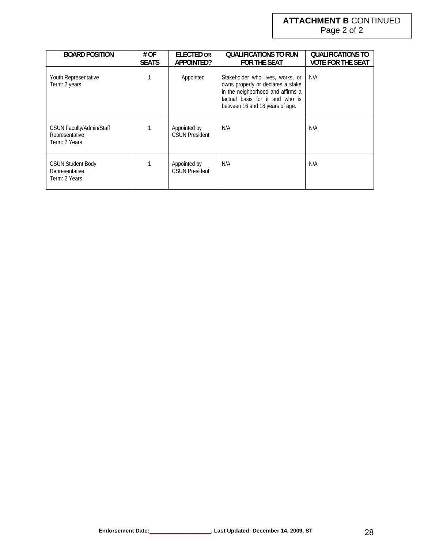# **ATTACHMENT B** CONTINUED

Page 2 of 2

| <b>BOARD POSITION</b>                                              | # OF<br><b>SEATS</b> | <b>ELECTED OR</b><br>APPOINTED?       | QUALIFICATIONS TO RUN<br><b>FOR THE SEAT</b>                                                                                                                                     | <b>QUALIFICATIONS TO</b><br><b>VOTE FOR THE SEAT</b> |
|--------------------------------------------------------------------|----------------------|---------------------------------------|----------------------------------------------------------------------------------------------------------------------------------------------------------------------------------|------------------------------------------------------|
| Youth Representative<br>Term: 2 years                              |                      | Appointed                             | Stakeholder who lives, works, or<br>owns property or declares a stake<br>in the neighborhood and affirms a<br>factual basis for it and who is<br>between 16 and 18 years of age. | N/A                                                  |
| <b>CSUN Faculty/Admin/Staff</b><br>Representative<br>Term: 2 Years |                      | Appointed by<br><b>CSUN President</b> | N/A                                                                                                                                                                              | N/A                                                  |
| <b>CSUN Student Body</b><br>Representative<br>Term: 2 Years        |                      | Appointed by<br><b>CSUN President</b> | N/A                                                                                                                                                                              | N/A                                                  |